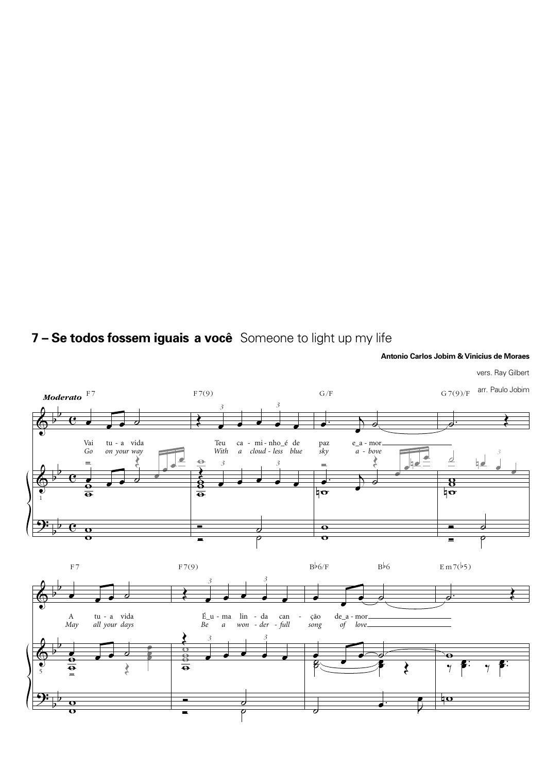## **7 – Se todos fossem iguais a você** Someone to light up my life



**Antonio Carlos Jobim & Vinicius de Moraes**

vers. Ray Gilbert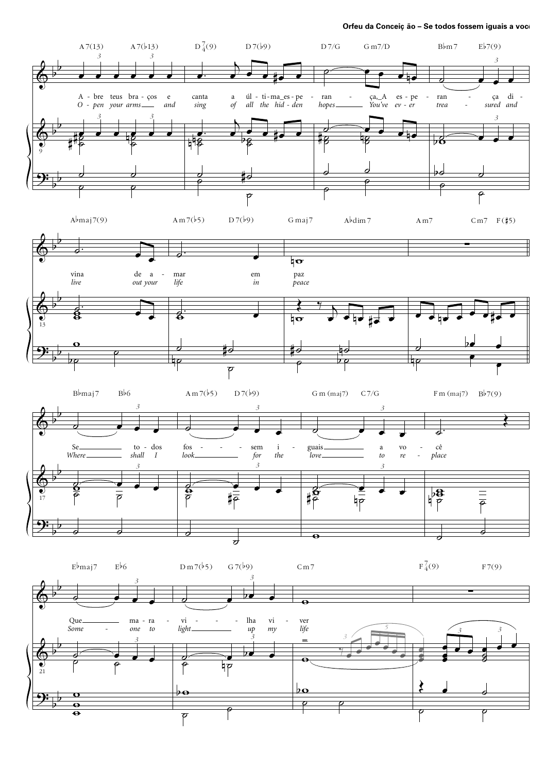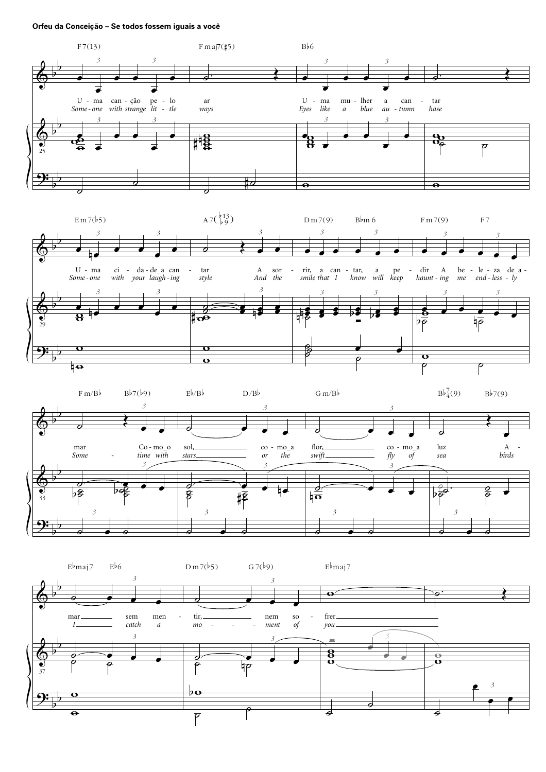## Orfeu da Conceição - Se todos fossem iguais a você